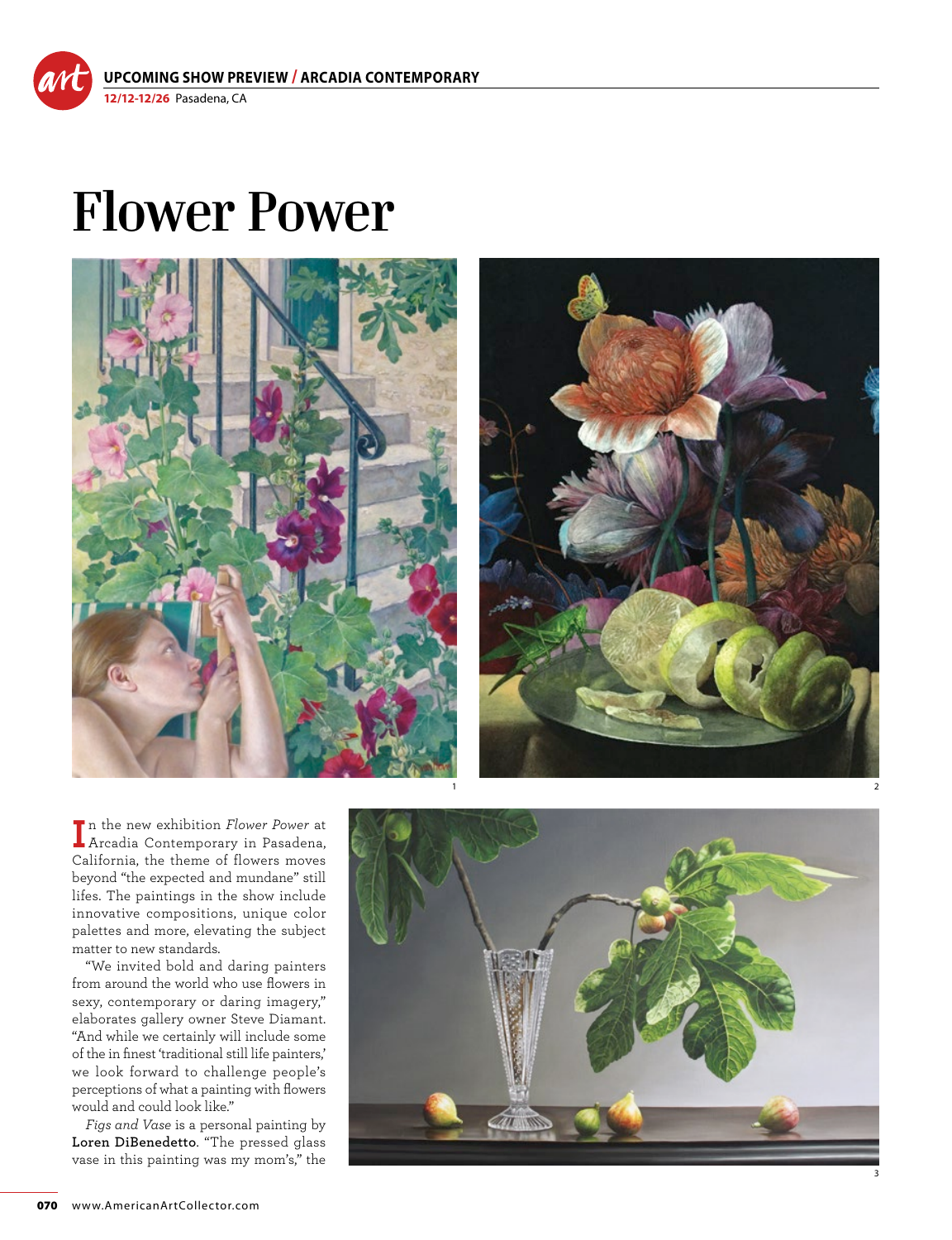**UPCOMING SHOW PREVIEW / ARCADIA CONTEMPORARY 12/12-12/26** Pasadena, CA

## **Flower Power**





**I** n the new exhibition *Flower Power* at Arcadia Contemporary in Pasadena, California, the theme of flowers moves beyond "the expected and mundane" still lifes. The paintings in the show include innovative compositions, unique color palettes and more, elevating the subject matter to new standards.

"We invited bold and daring painters from around the world who use flowers in sexy, contemporary or daring imagery," elaborates gallery owner Steve Diamant. "And while we certainly will include some of the in finest 'traditional still life painters,' we look forward to challenge people's perceptions of what a painting with flowers would and could look like."

*Figs and Vase* is a personal painting by **Loren DiBenedetto**. "The pressed glass vase in this painting was my mom's," the